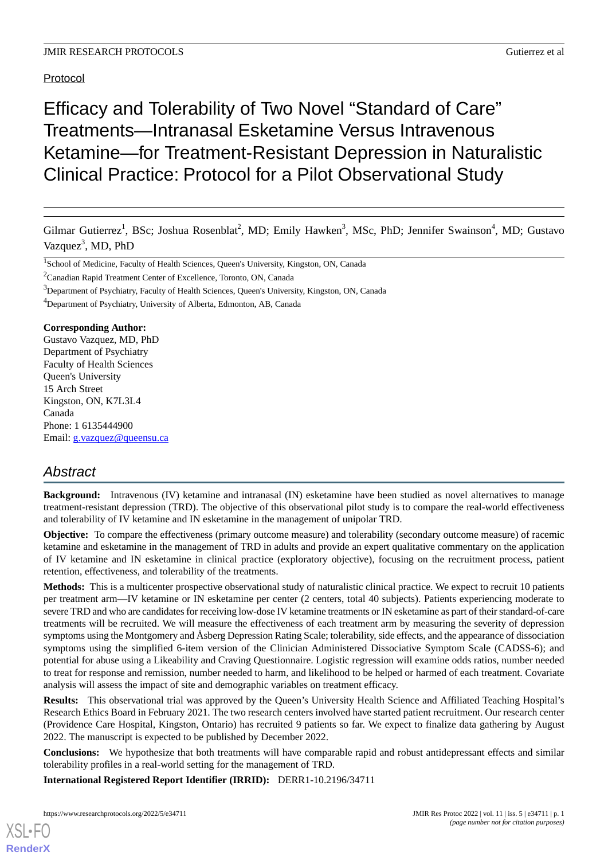# Protocol

# Efficacy and Tolerability of Two Novel "Standard of Care" Treatments—Intranasal Esketamine Versus Intravenous Ketamine—for Treatment-Resistant Depression in Naturalistic Clinical Practice: Protocol for a Pilot Observational Study

Gilmar Gutierrez<sup>1</sup>, BSc; Joshua Rosenblat<sup>2</sup>, MD; Emily Hawken<sup>3</sup>, MSc, PhD; Jennifer Swainson<sup>4</sup>, MD; Gustavo Vazquez<sup>3</sup>, MD, PhD

<sup>4</sup>Department of Psychiatry, University of Alberta, Edmonton, AB, Canada

#### **Corresponding Author:**

Gustavo Vazquez, MD, PhD Department of Psychiatry Faculty of Health Sciences Queen's University 15 Arch Street Kingston, ON, K7L3L4 Canada Phone: 1 6135444900 Email: [g.vazquez@queensu.ca](mailto:g.vazquez@queensu.ca)

# *Abstract*

**Background:** Intravenous (IV) ketamine and intranasal (IN) esketamine have been studied as novel alternatives to manage treatment-resistant depression (TRD). The objective of this observational pilot study is to compare the real-world effectiveness and tolerability of IV ketamine and IN esketamine in the management of unipolar TRD.

**Objective:** To compare the effectiveness (primary outcome measure) and tolerability (secondary outcome measure) of racemic ketamine and esketamine in the management of TRD in adults and provide an expert qualitative commentary on the application of IV ketamine and IN esketamine in clinical practice (exploratory objective), focusing on the recruitment process, patient retention, effectiveness, and tolerability of the treatments.

**Methods:** This is a multicenter prospective observational study of naturalistic clinical practice. We expect to recruit 10 patients per treatment arm—IV ketamine or IN esketamine per center (2 centers, total 40 subjects). Patients experiencing moderate to severe TRD and who are candidates for receiving low-dose IV ketamine treatments or IN esketamine as part of their standard-of-care treatments will be recruited. We will measure the effectiveness of each treatment arm by measuring the severity of depression symptoms using the Montgomery and Åsberg Depression Rating Scale; tolerability, side effects, and the appearance of dissociation symptoms using the simplified 6-item version of the Clinician Administered Dissociative Symptom Scale (CADSS-6); and potential for abuse using a Likeability and Craving Questionnaire. Logistic regression will examine odds ratios, number needed to treat for response and remission, number needed to harm, and likelihood to be helped or harmed of each treatment. Covariate analysis will assess the impact of site and demographic variables on treatment efficacy.

**Results:** This observational trial was approved by the Queen's University Health Science and Affiliated Teaching Hospital's Research Ethics Board in February 2021. The two research centers involved have started patient recruitment. Our research center (Providence Care Hospital, Kingston, Ontario) has recruited 9 patients so far. We expect to finalize data gathering by August 2022. The manuscript is expected to be published by December 2022.

**Conclusions:** We hypothesize that both treatments will have comparable rapid and robust antidepressant effects and similar tolerability profiles in a real-world setting for the management of TRD.

**International Registered Report Identifier (IRRID):** DERR1-10.2196/34711

<sup>&</sup>lt;sup>1</sup>School of Medicine, Faculty of Health Sciences, Queen's University, Kingston, ON, Canada

<sup>2</sup>Canadian Rapid Treatment Center of Excellence, Toronto, ON, Canada

<sup>&</sup>lt;sup>3</sup>Department of Psychiatry, Faculty of Health Sciences, Queen's University, Kingston, ON, Canada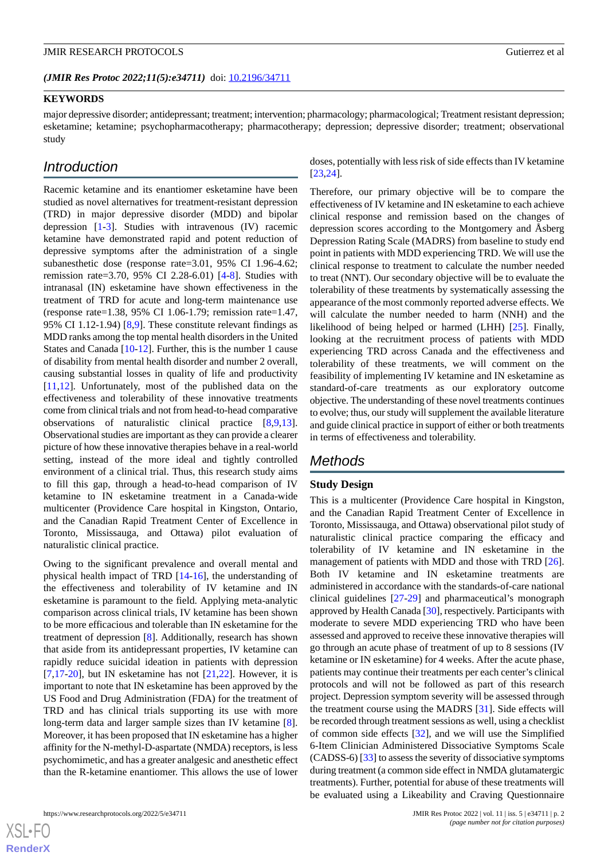*(JMIR Res Protoc 2022;11(5):e34711)* doi:  $10.2196/34711$ 

#### **KEYWORDS**

major depressive disorder; antidepressant; treatment; intervention; pharmacology; pharmacological; Treatment resistant depression; esketamine; ketamine; psychopharmacotherapy; pharmacotherapy; depression; depressive disorder; treatment; observational study

# *Introduction*

Racemic ketamine and its enantiomer esketamine have been studied as novel alternatives for treatment-resistant depression (TRD) in major depressive disorder (MDD) and bipolar depression [[1](#page-6-0)-[3\]](#page-6-1). Studies with intravenous (IV) racemic ketamine have demonstrated rapid and potent reduction of depressive symptoms after the administration of a single subanesthetic dose (response rate=3.01, 95% CI 1.96-4.62; remission rate=3.70, 95% CI 2.28-6.01) [[4-](#page-6-2)[8](#page-6-3)]. Studies with intranasal (IN) esketamine have shown effectiveness in the treatment of TRD for acute and long-term maintenance use (response rate=1.38, 95% CI 1.06-1.79; remission rate=1.47, 95% CI 1.12-1.94)  $[8,9]$  $[8,9]$  $[8,9]$ . These constitute relevant findings as MDD ranks among the top mental health disorders in the United States and Canada [[10](#page-6-5)[-12](#page-6-6)]. Further, this is the number 1 cause of disability from mental health disorder and number 2 overall, causing substantial losses in quality of life and productivity [[11](#page-6-7)[,12](#page-6-6)]. Unfortunately, most of the published data on the effectiveness and tolerability of these innovative treatments come from clinical trials and not from head-to-head comparative observations of naturalistic clinical practice [[8](#page-6-3)[,9](#page-6-4),[13\]](#page-6-8). Observational studies are important as they can provide a clearer picture of how these innovative therapies behave in a real-world setting, instead of the more ideal and tightly controlled environment of a clinical trial. Thus, this research study aims to fill this gap, through a head-to-head comparison of IV ketamine to IN esketamine treatment in a Canada-wide multicenter (Providence Care hospital in Kingston, Ontario, and the Canadian Rapid Treatment Center of Excellence in Toronto, Mississauga, and Ottawa) pilot evaluation of naturalistic clinical practice.

Owing to the significant prevalence and overall mental and physical health impact of TRD [[14-](#page-6-9)[16\]](#page-6-10), the understanding of the effectiveness and tolerability of IV ketamine and IN esketamine is paramount to the field. Applying meta-analytic comparison across clinical trials, IV ketamine has been shown to be more efficacious and tolerable than IN esketamine for the treatment of depression [[8\]](#page-6-3). Additionally, research has shown that aside from its antidepressant properties, IV ketamine can rapidly reduce suicidal ideation in patients with depression [[7](#page-6-11)[,17](#page-7-0)-[20\]](#page-7-1), but IN esketamine has not  $[21,22]$  $[21,22]$  $[21,22]$  $[21,22]$ . However, it is important to note that IN esketamine has been approved by the US Food and Drug Administration (FDA) for the treatment of TRD and has clinical trials supporting its use with more long-term data and larger sample sizes than IV ketamine [[8\]](#page-6-3). Moreover, it has been proposed that IN esketamine has a higher affinity for the N-methyl-D-aspartate (NMDA) receptors, is less psychomimetic, and has a greater analgesic and anesthetic effect than the R-ketamine enantiomer. This allows the use of lower

doses, potentially with less risk of side effects than IV ketamine [[23,](#page-7-4)[24\]](#page-7-5).

Therefore, our primary objective will be to compare the effectiveness of IV ketamine and IN esketamine to each achieve clinical response and remission based on the changes of depression scores according to the Montgomery and Åsberg Depression Rating Scale (MADRS) from baseline to study end point in patients with MDD experiencing TRD. We will use the clinical response to treatment to calculate the number needed to treat (NNT). Our secondary objective will be to evaluate the tolerability of these treatments by systematically assessing the appearance of the most commonly reported adverse effects. We will calculate the number needed to harm (NNH) and the likelihood of being helped or harmed (LHH) [\[25](#page-7-6)]. Finally, looking at the recruitment process of patients with MDD experiencing TRD across Canada and the effectiveness and tolerability of these treatments, we will comment on the feasibility of implementing IV ketamine and IN esketamine as standard-of-care treatments as our exploratory outcome objective. The understanding of these novel treatments continues to evolve; thus, our study will supplement the available literature and guide clinical practice in support of either or both treatments in terms of effectiveness and tolerability.

# *Methods*

## **Study Design**

This is a multicenter (Providence Care hospital in Kingston, and the Canadian Rapid Treatment Center of Excellence in Toronto, Mississauga, and Ottawa) observational pilot study of naturalistic clinical practice comparing the efficacy and tolerability of IV ketamine and IN esketamine in the management of patients with MDD and those with TRD [[26\]](#page-7-7). Both IV ketamine and IN esketamine treatments are administered in accordance with the standards-of-care national clinical guidelines [[27](#page-7-8)[-29](#page-7-9)] and pharmaceutical's monograph approved by Health Canada [[30\]](#page-7-10), respectively. Participants with moderate to severe MDD experiencing TRD who have been assessed and approved to receive these innovative therapies will go through an acute phase of treatment of up to 8 sessions (IV ketamine or IN esketamine) for 4 weeks. After the acute phase, patients may continue their treatments per each center's clinical protocols and will not be followed as part of this research project. Depression symptom severity will be assessed through the treatment course using the MADRS [[31\]](#page-7-11). Side effects will be recorded through treatment sessions as well, using a checklist of common side effects [[32\]](#page-7-12), and we will use the Simplified 6-Item Clinician Administered Dissociative Symptoms Scale (CADSS-6) [[33\]](#page-7-13) to assess the severity of dissociative symptoms during treatment (a common side effect in NMDA glutamatergic treatments). Further, potential for abuse of these treatments will be evaluated using a Likeability and Craving Questionnaire

 $XS$  • FO **[RenderX](http://www.renderx.com/)**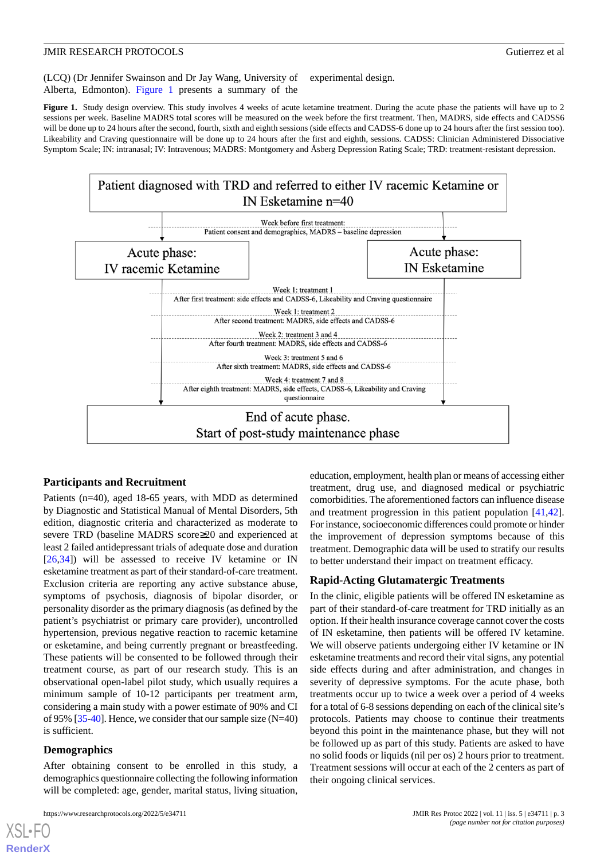(LCQ) (Dr Jennifer Swainson and Dr Jay Wang, University of Alberta, Edmonton). [Figure 1](#page-2-0) presents a summary of the experimental design.

<span id="page-2-0"></span>Figure 1. Study design overview. This study involves 4 weeks of acute ketamine treatment. During the acute phase the patients will have up to 2 sessions per week. Baseline MADRS total scores will be measured on the week before the first treatment. Then, MADRS, side effects and CADSS6 will be done up to 24 hours after the second, fourth, sixth and eighth sessions (side effects and CADSS-6 done up to 24 hours after the first session too). Likeability and Craving questionnaire will be done up to 24 hours after the first and eighth, sessions. CADSS: Clinician Administered Dissociative Symptom Scale; IN: intranasal; IV: Intravenous; MADRS: Montgomery and Åsberg Depression Rating Scale; TRD: treatment-resistant depression.



#### **Participants and Recruitment**

Patients (n=40), aged 18-65 years, with MDD as determined by Diagnostic and Statistical Manual of Mental Disorders, 5th edition, diagnostic criteria and characterized as moderate to severe TRD (baseline MADRS score≥20 and experienced at least 2 failed antidepressant trials of adequate dose and duration [[26](#page-7-7)[,34](#page-7-14)]) will be assessed to receive IV ketamine or IN esketamine treatment as part of their standard-of-care treatment. Exclusion criteria are reporting any active substance abuse, symptoms of psychosis, diagnosis of bipolar disorder, or personality disorder as the primary diagnosis (as defined by the patient's psychiatrist or primary care provider), uncontrolled hypertension, previous negative reaction to racemic ketamine or esketamine, and being currently pregnant or breastfeeding. These patients will be consented to be followed through their treatment course, as part of our research study. This is an observational open-label pilot study, which usually requires a minimum sample of 10-12 participants per treatment arm, considering a main study with a power estimate of 90% and CI of 95% [[35-](#page-7-15)[40\]](#page-8-0). Hence, we consider that our sample size (N=40) is sufficient.

#### **Demographics**

[XSL](http://www.w3.org/Style/XSL)•FO **[RenderX](http://www.renderx.com/)**

After obtaining consent to be enrolled in this study, a demographics questionnaire collecting the following information will be completed: age, gender, marital status, living situation,

education, employment, health plan or means of accessing either treatment, drug use, and diagnosed medical or psychiatric comorbidities. The aforementioned factors can influence disease and treatment progression in this patient population [\[41](#page-8-1),[42\]](#page-8-2). For instance, socioeconomic differences could promote or hinder the improvement of depression symptoms because of this treatment. Demographic data will be used to stratify our results to better understand their impact on treatment efficacy.

#### **Rapid-Acting Glutamatergic Treatments**

In the clinic, eligible patients will be offered IN esketamine as part of their standard-of-care treatment for TRD initially as an option. If their health insurance coverage cannot cover the costs of IN esketamine, then patients will be offered IV ketamine. We will observe patients undergoing either IV ketamine or IN esketamine treatments and record their vital signs, any potential side effects during and after administration, and changes in severity of depressive symptoms. For the acute phase, both treatments occur up to twice a week over a period of 4 weeks for a total of 6-8 sessions depending on each of the clinical site's protocols. Patients may choose to continue their treatments beyond this point in the maintenance phase, but they will not be followed up as part of this study. Patients are asked to have no solid foods or liquids (nil per os) 2 hours prior to treatment. Treatment sessions will occur at each of the 2 centers as part of their ongoing clinical services.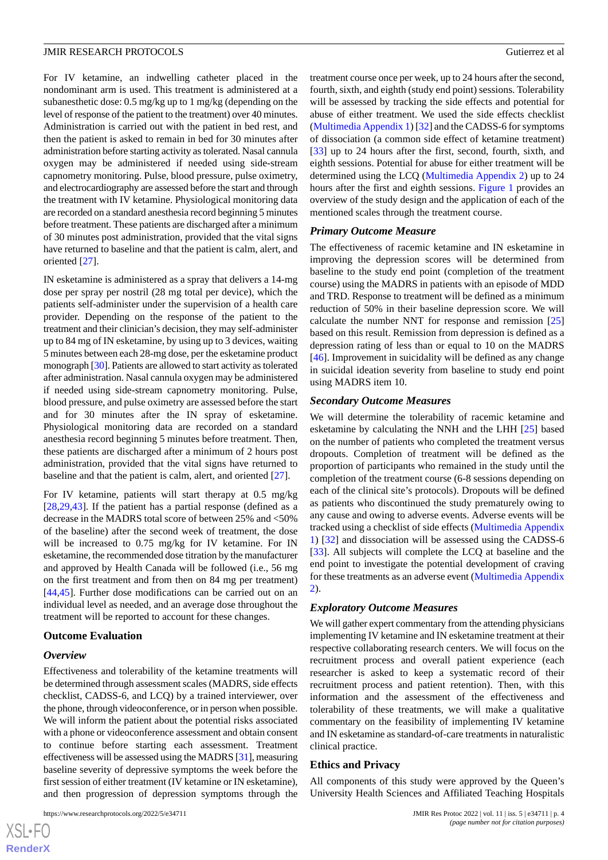For IV ketamine, an indwelling catheter placed in the nondominant arm is used. This treatment is administered at a subanesthetic dose: 0.5 mg/kg up to 1 mg/kg (depending on the level of response of the patient to the treatment) over 40 minutes. Administration is carried out with the patient in bed rest, and then the patient is asked to remain in bed for 30 minutes after administration before starting activity as tolerated. Nasal cannula oxygen may be administered if needed using side-stream capnometry monitoring. Pulse, blood pressure, pulse oximetry, and electrocardiography are assessed before the start and through the treatment with IV ketamine. Physiological monitoring data are recorded on a standard anesthesia record beginning 5 minutes before treatment. These patients are discharged after a minimum of 30 minutes post administration, provided that the vital signs have returned to baseline and that the patient is calm, alert, and oriented [\[27](#page-7-8)].

IN esketamine is administered as a spray that delivers a 14-mg dose per spray per nostril (28 mg total per device), which the patients self-administer under the supervision of a health care provider. Depending on the response of the patient to the treatment and their clinician's decision, they may self-administer up to 84 mg of IN esketamine, by using up to 3 devices, waiting 5 minutes between each 28-mg dose, per the esketamine product monograph [\[30](#page-7-10)]. Patients are allowed to start activity as tolerated after administration. Nasal cannula oxygen may be administered if needed using side-stream capnometry monitoring. Pulse, blood pressure, and pulse oximetry are assessed before the start and for 30 minutes after the IN spray of esketamine. Physiological monitoring data are recorded on a standard anesthesia record beginning 5 minutes before treatment. Then, these patients are discharged after a minimum of 2 hours post administration, provided that the vital signs have returned to baseline and that the patient is calm, alert, and oriented [[27\]](#page-7-8).

For IV ketamine, patients will start therapy at 0.5 mg/kg [[28](#page-7-16)[,29](#page-7-9),[43\]](#page-8-3). If the patient has a partial response (defined as a decrease in the MADRS total score of between 25% and <50% of the baseline) after the second week of treatment, the dose will be increased to 0.75 mg/kg for IV ketamine. For IN esketamine, the recommended dose titration by the manufacturer and approved by Health Canada will be followed (i.e., 56 mg on the first treatment and from then on 84 mg per treatment) [[44](#page-8-4)[,45](#page-8-5)]. Further dose modifications can be carried out on an individual level as needed, and an average dose throughout the treatment will be reported to account for these changes.

#### **Outcome Evaluation**

#### *Overview*

Effectiveness and tolerability of the ketamine treatments will be determined through assessment scales (MADRS, side effects checklist, CADSS-6, and LCQ) by a trained interviewer, over the phone, through videoconference, or in person when possible. We will inform the patient about the potential risks associated with a phone or videoconference assessment and obtain consent to continue before starting each assessment. Treatment effectiveness will be assessed using the MADRS [[31\]](#page-7-11), measuring baseline severity of depressive symptoms the week before the first session of either treatment (IV ketamine or IN esketamine), and then progression of depression symptoms through the

```
https://www.researchprotocols.org/2022/5/e34711 JMIR Res Protoc 2022 | vol. 11 | iss. 5 | e34711 | p. 4
```
treatment course once per week, up to 24 hours after the second, fourth, sixth, and eighth (study end point) sessions. Tolerability will be assessed by tracking the side effects and potential for abuse of either treatment. We used the side effects checklist ([Multimedia Appendix 1\)](#page-6-12) [\[32](#page-7-12)] and the CADSS-6 for symptoms of dissociation (a common side effect of ketamine treatment) [[33\]](#page-7-13) up to 24 hours after the first, second, fourth, sixth, and eighth sessions. Potential for abuse for either treatment will be determined using the LCQ ([Multimedia Appendix 2](#page-6-13)) up to 24 hours after the first and eighth sessions. [Figure 1](#page-2-0) provides an overview of the study design and the application of each of the mentioned scales through the treatment course.

#### *Primary Outcome Measure*

The effectiveness of racemic ketamine and IN esketamine in improving the depression scores will be determined from baseline to the study end point (completion of the treatment course) using the MADRS in patients with an episode of MDD and TRD. Response to treatment will be defined as a minimum reduction of 50% in their baseline depression score. We will calculate the number NNT for response and remission [\[25](#page-7-6)] based on this result. Remission from depression is defined as a depression rating of less than or equal to 10 on the MADRS [[46\]](#page-8-6). Improvement in suicidality will be defined as any change in suicidal ideation severity from baseline to study end point using MADRS item 10.

#### *Secondary Outcome Measures*

We will determine the tolerability of racemic ketamine and esketamine by calculating the NNH and the LHH [\[25](#page-7-6)] based on the number of patients who completed the treatment versus dropouts. Completion of treatment will be defined as the proportion of participants who remained in the study until the completion of the treatment course (6-8 sessions depending on each of the clinical site's protocols). Dropouts will be defined as patients who discontinued the study prematurely owing to any cause and owing to adverse events. Adverse events will be tracked using a checklist of side effects [\(Multimedia Appendix](#page-6-12) [1\)](#page-6-12) [\[32](#page-7-12)] and dissociation will be assessed using the CADSS-6 [[33\]](#page-7-13). All subjects will complete the LCQ at baseline and the end point to investigate the potential development of craving for these treatments as an adverse event ([Multimedia Appendix](#page-6-13) [2\)](#page-6-13).

#### *Exploratory Outcome Measures*

We will gather expert commentary from the attending physicians implementing IV ketamine and IN esketamine treatment at their respective collaborating research centers. We will focus on the recruitment process and overall patient experience (each researcher is asked to keep a systematic record of their recruitment process and patient retention). Then, with this information and the assessment of the effectiveness and tolerability of these treatments, we will make a qualitative commentary on the feasibility of implementing IV ketamine and IN esketamine as standard-of-care treatments in naturalistic clinical practice.

#### **Ethics and Privacy**

All components of this study were approved by the Queen's University Health Sciences and Affiliated Teaching Hospitals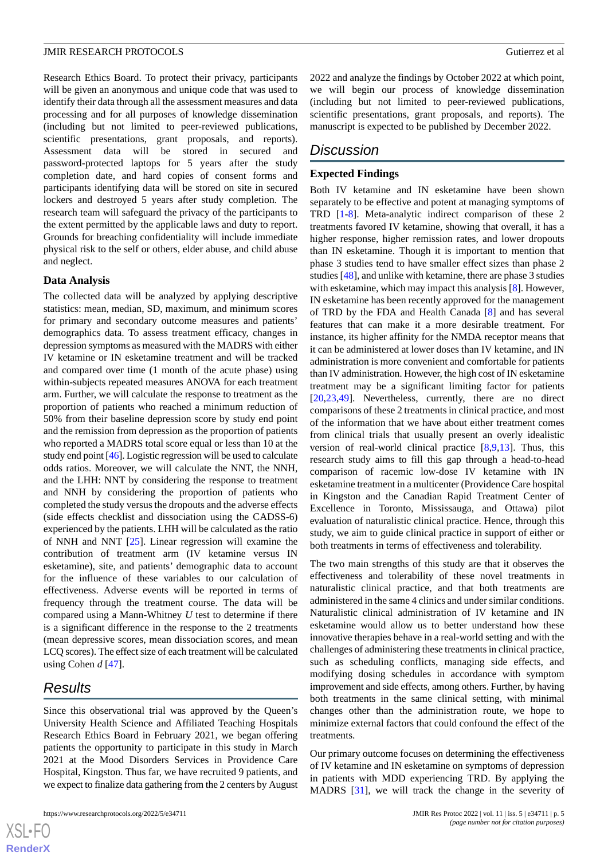Research Ethics Board. To protect their privacy, participants will be given an anonymous and unique code that was used to identify their data through all the assessment measures and data processing and for all purposes of knowledge dissemination (including but not limited to peer-reviewed publications, scientific presentations, grant proposals, and reports). Assessment data will be stored in secured and password-protected laptops for 5 years after the study completion date, and hard copies of consent forms and participants identifying data will be stored on site in secured lockers and destroyed 5 years after study completion. The research team will safeguard the privacy of the participants to the extent permitted by the applicable laws and duty to report. Grounds for breaching confidentiality will include immediate physical risk to the self or others, elder abuse, and child abuse and neglect.

#### **Data Analysis**

The collected data will be analyzed by applying descriptive statistics: mean, median, SD, maximum, and minimum scores for primary and secondary outcome measures and patients' demographics data. To assess treatment efficacy, changes in depression symptoms as measured with the MADRS with either IV ketamine or IN esketamine treatment and will be tracked and compared over time (1 month of the acute phase) using within-subjects repeated measures ANOVA for each treatment arm. Further, we will calculate the response to treatment as the proportion of patients who reached a minimum reduction of 50% from their baseline depression score by study end point and the remission from depression as the proportion of patients who reported a MADRS total score equal or less than 10 at the study end point [[46](#page-8-6)]. Logistic regression will be used to calculate odds ratios. Moreover, we will calculate the NNT, the NNH, and the LHH: NNT by considering the response to treatment and NNH by considering the proportion of patients who completed the study versus the dropouts and the adverse effects (side effects checklist and dissociation using the CADSS-6) experienced by the patients. LHH will be calculated as the ratio of NNH and NNT [\[25](#page-7-6)]. Linear regression will examine the contribution of treatment arm (IV ketamine versus IN esketamine), site, and patients' demographic data to account for the influence of these variables to our calculation of effectiveness. Adverse events will be reported in terms of frequency through the treatment course. The data will be compared using a Mann-Whitney *U* test to determine if there is a significant difference in the response to the 2 treatments (mean depressive scores, mean dissociation scores, and mean LCQ scores). The effect size of each treatment will be calculated using Cohen *d* [\[47](#page-8-7)].

# *Results*

Since this observational trial was approved by the Queen's University Health Science and Affiliated Teaching Hospitals Research Ethics Board in February 2021, we began offering patients the opportunity to participate in this study in March 2021 at the Mood Disorders Services in Providence Care Hospital, Kingston. Thus far, we have recruited 9 patients, and we expect to finalize data gathering from the 2 centers by August

2022 and analyze the findings by October 2022 at which point, we will begin our process of knowledge dissemination (including but not limited to peer-reviewed publications, scientific presentations, grant proposals, and reports). The manuscript is expected to be published by December 2022.

# *Discussion*

#### **Expected Findings**

Both IV ketamine and IN esketamine have been shown separately to be effective and potent at managing symptoms of TRD [[1-](#page-6-0)[8](#page-6-3)]. Meta-analytic indirect comparison of these 2 treatments favored IV ketamine, showing that overall, it has a higher response, higher remission rates, and lower dropouts than IN esketamine. Though it is important to mention that phase 3 studies tend to have smaller effect sizes than phase 2 studies [\[48](#page-8-8)], and unlike with ketamine, there are phase 3 studies with esketamine, which may impact this analysis [[8\]](#page-6-3). However, IN esketamine has been recently approved for the management of TRD by the FDA and Health Canada [[8\]](#page-6-3) and has several features that can make it a more desirable treatment. For instance, its higher affinity for the NMDA receptor means that it can be administered at lower doses than IV ketamine, and IN administration is more convenient and comfortable for patients than IV administration. However, the high cost of IN esketamine treatment may be a significant limiting factor for patients [[20,](#page-7-1)[23,](#page-7-4)[49\]](#page-8-9). Nevertheless, currently, there are no direct comparisons of these 2 treatments in clinical practice, and most of the information that we have about either treatment comes from clinical trials that usually present an overly idealistic version of real-world clinical practice  $[8,9,13]$  $[8,9,13]$  $[8,9,13]$  $[8,9,13]$  $[8,9,13]$ . Thus, this research study aims to fill this gap through a head-to-head comparison of racemic low-dose IV ketamine with IN esketamine treatment in a multicenter (Providence Care hospital in Kingston and the Canadian Rapid Treatment Center of Excellence in Toronto, Mississauga, and Ottawa) pilot evaluation of naturalistic clinical practice. Hence, through this study, we aim to guide clinical practice in support of either or both treatments in terms of effectiveness and tolerability.

The two main strengths of this study are that it observes the effectiveness and tolerability of these novel treatments in naturalistic clinical practice, and that both treatments are administered in the same 4 clinics and under similar conditions. Naturalistic clinical administration of IV ketamine and IN esketamine would allow us to better understand how these innovative therapies behave in a real-world setting and with the challenges of administering these treatments in clinical practice, such as scheduling conflicts, managing side effects, and modifying dosing schedules in accordance with symptom improvement and side effects, among others. Further, by having both treatments in the same clinical setting, with minimal changes other than the administration route, we hope to minimize external factors that could confound the effect of the treatments.

Our primary outcome focuses on determining the effectiveness of IV ketamine and IN esketamine on symptoms of depression in patients with MDD experiencing TRD. By applying the MADRS [\[31](#page-7-11)], we will track the change in the severity of

 $XS$ -FO **[RenderX](http://www.renderx.com/)**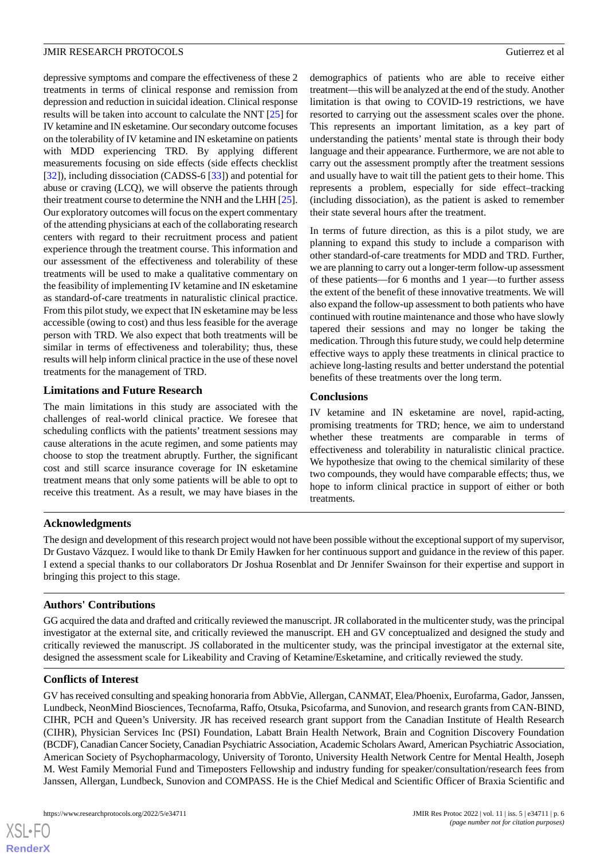depressive symptoms and compare the effectiveness of these 2 treatments in terms of clinical response and remission from depression and reduction in suicidal ideation. Clinical response results will be taken into account to calculate the NNT [\[25](#page-7-6)] for IV ketamine and IN esketamine. Our secondary outcome focuses on the tolerability of IV ketamine and IN esketamine on patients with MDD experiencing TRD. By applying different measurements focusing on side effects (side effects checklist [[32\]](#page-7-12)), including dissociation (CADSS-6 [[33\]](#page-7-13)) and potential for abuse or craving (LCQ), we will observe the patients through their treatment course to determine the NNH and the LHH [[25\]](#page-7-6). Our exploratory outcomes will focus on the expert commentary of the attending physicians at each of the collaborating research centers with regard to their recruitment process and patient experience through the treatment course. This information and our assessment of the effectiveness and tolerability of these treatments will be used to make a qualitative commentary on the feasibility of implementing IV ketamine and IN esketamine as standard-of-care treatments in naturalistic clinical practice. From this pilot study, we expect that IN esketamine may be less accessible (owing to cost) and thus less feasible for the average person with TRD. We also expect that both treatments will be similar in terms of effectiveness and tolerability; thus, these results will help inform clinical practice in the use of these novel treatments for the management of TRD.

## **Limitations and Future Research**

The main limitations in this study are associated with the challenges of real-world clinical practice. We foresee that scheduling conflicts with the patients' treatment sessions may cause alterations in the acute regimen, and some patients may choose to stop the treatment abruptly. Further, the significant cost and still scarce insurance coverage for IN esketamine treatment means that only some patients will be able to opt to receive this treatment. As a result, we may have biases in the

demographics of patients who are able to receive either treatment—this will be analyzed at the end of the study. Another limitation is that owing to COVID-19 restrictions, we have resorted to carrying out the assessment scales over the phone. This represents an important limitation, as a key part of understanding the patients' mental state is through their body language and their appearance. Furthermore, we are not able to carry out the assessment promptly after the treatment sessions and usually have to wait till the patient gets to their home. This represents a problem, especially for side effect–tracking (including dissociation), as the patient is asked to remember their state several hours after the treatment.

In terms of future direction, as this is a pilot study, we are planning to expand this study to include a comparison with other standard-of-care treatments for MDD and TRD. Further, we are planning to carry out a longer-term follow-up assessment of these patients—for 6 months and 1 year—to further assess the extent of the benefit of these innovative treatments. We will also expand the follow-up assessment to both patients who have continued with routine maintenance and those who have slowly tapered their sessions and may no longer be taking the medication. Through this future study, we could help determine effective ways to apply these treatments in clinical practice to achieve long-lasting results and better understand the potential benefits of these treatments over the long term.

## **Conclusions**

IV ketamine and IN esketamine are novel, rapid-acting, promising treatments for TRD; hence, we aim to understand whether these treatments are comparable in terms of effectiveness and tolerability in naturalistic clinical practice. We hypothesize that owing to the chemical similarity of these two compounds, they would have comparable effects; thus, we hope to inform clinical practice in support of either or both treatments.

# **Acknowledgments**

The design and development of this research project would not have been possible without the exceptional support of my supervisor, Dr Gustavo Vázquez. I would like to thank Dr Emily Hawken for her continuous support and guidance in the review of this paper. I extend a special thanks to our collaborators Dr Joshua Rosenblat and Dr Jennifer Swainson for their expertise and support in bringing this project to this stage.

# **Authors' Contributions**

GG acquired the data and drafted and critically reviewed the manuscript. JR collaborated in the multicenter study, was the principal investigator at the external site, and critically reviewed the manuscript. EH and GV conceptualized and designed the study and critically reviewed the manuscript. JS collaborated in the multicenter study, was the principal investigator at the external site, designed the assessment scale for Likeability and Craving of Ketamine/Esketamine, and critically reviewed the study.

#### **Conflicts of Interest**

GV has received consulting and speaking honoraria from AbbVie, Allergan, CANMAT, Elea/Phoenix, Eurofarma, Gador, Janssen, Lundbeck, NeonMind Biosciences, Tecnofarma, Raffo, Otsuka, Psicofarma, and Sunovion, and research grants from CAN-BIND, CIHR, PCH and Queen's University. JR has received research grant support from the Canadian Institute of Health Research (CIHR), Physician Services Inc (PSI) Foundation, Labatt Brain Health Network, Brain and Cognition Discovery Foundation (BCDF), Canadian Cancer Society, Canadian Psychiatric Association, Academic Scholars Award, American Psychiatric Association, American Society of Psychopharmacology, University of Toronto, University Health Network Centre for Mental Health, Joseph M. West Family Memorial Fund and Timeposters Fellowship and industry funding for speaker/consultation/research fees from Janssen, Allergan, Lundbeck, Sunovion and COMPASS. He is the Chief Medical and Scientific Officer of Braxia Scientific and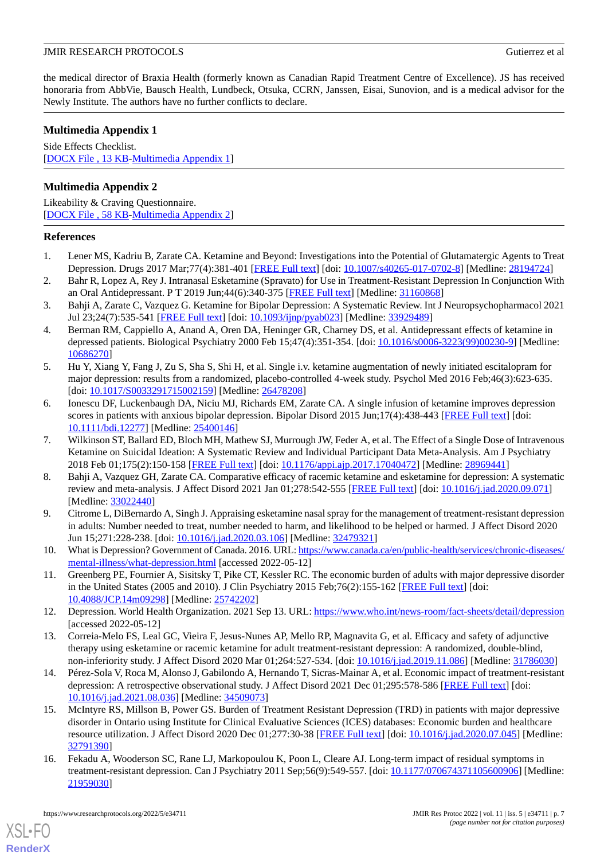the medical director of Braxia Health (formerly known as Canadian Rapid Treatment Centre of Excellence). JS has received honoraria from AbbVie, Bausch Health, Lundbeck, Otsuka, CCRN, Janssen, Eisai, Sunovion, and is a medical advisor for the Newly Institute. The authors have no further conflicts to declare.

# <span id="page-6-12"></span>**Multimedia Appendix 1**

Side Effects Checklist. [[DOCX File , 13 KB](https://jmir.org/api/download?alt_name=resprot_v11i5e34711_app1.docx&filename=f420263e0198149a7570eb85f08e8f42.docx)-[Multimedia Appendix 1\]](https://jmir.org/api/download?alt_name=resprot_v11i5e34711_app1.docx&filename=f420263e0198149a7570eb85f08e8f42.docx)

# <span id="page-6-13"></span>**Multimedia Appendix 2**

Likeability & Craving Questionnaire. [[DOCX File , 58 KB](https://jmir.org/api/download?alt_name=resprot_v11i5e34711_app2.docx&filename=e947634d5082d72b39432f3ff14acd04.docx)-[Multimedia Appendix 2\]](https://jmir.org/api/download?alt_name=resprot_v11i5e34711_app2.docx&filename=e947634d5082d72b39432f3ff14acd04.docx)

## <span id="page-6-0"></span>**References**

- 1. Lener MS, Kadriu B, Zarate CA. Ketamine and Beyond: Investigations into the Potential of Glutamatergic Agents to Treat Depression. Drugs 2017 Mar;77(4):381-401 [[FREE Full text](http://europepmc.org/abstract/MED/28194724)] [doi: [10.1007/s40265-017-0702-8\]](http://dx.doi.org/10.1007/s40265-017-0702-8) [Medline: [28194724\]](http://www.ncbi.nlm.nih.gov/entrez/query.fcgi?cmd=Retrieve&db=PubMed&list_uids=28194724&dopt=Abstract)
- <span id="page-6-1"></span>2. Bahr R, Lopez A, Rey J. Intranasal Esketamine (Spravato) for Use in Treatment-Resistant Depression In Conjunction With an Oral Antidepressant. P T 2019 Jun;44(6):340-375 [\[FREE Full text\]](http://europepmc.org/abstract/MED/31160868) [Medline: [31160868](http://www.ncbi.nlm.nih.gov/entrez/query.fcgi?cmd=Retrieve&db=PubMed&list_uids=31160868&dopt=Abstract)]
- <span id="page-6-2"></span>3. Bahji A, Zarate C, Vazquez G. Ketamine for Bipolar Depression: A Systematic Review. Int J Neuropsychopharmacol 2021 Jul 23;24(7):535-541 [\[FREE Full text\]](https://academic.oup.com/ijnp/article-lookup/doi/10.1093/ijnp/pyab023) [doi: [10.1093/ijnp/pyab023\]](http://dx.doi.org/10.1093/ijnp/pyab023) [Medline: [33929489](http://www.ncbi.nlm.nih.gov/entrez/query.fcgi?cmd=Retrieve&db=PubMed&list_uids=33929489&dopt=Abstract)]
- 4. Berman RM, Cappiello A, Anand A, Oren DA, Heninger GR, Charney DS, et al. Antidepressant effects of ketamine in depressed patients. Biological Psychiatry 2000 Feb 15;47(4):351-354. [doi: [10.1016/s0006-3223\(99\)00230-9\]](http://dx.doi.org/10.1016/s0006-3223(99)00230-9) [Medline: [10686270](http://www.ncbi.nlm.nih.gov/entrez/query.fcgi?cmd=Retrieve&db=PubMed&list_uids=10686270&dopt=Abstract)]
- 5. Hu Y, Xiang Y, Fang J, Zu S, Sha S, Shi H, et al. Single i.v. ketamine augmentation of newly initiated escitalopram for major depression: results from a randomized, placebo-controlled 4-week study. Psychol Med 2016 Feb;46(3):623-635. [doi: [10.1017/S0033291715002159\]](http://dx.doi.org/10.1017/S0033291715002159) [Medline: [26478208](http://www.ncbi.nlm.nih.gov/entrez/query.fcgi?cmd=Retrieve&db=PubMed&list_uids=26478208&dopt=Abstract)]
- <span id="page-6-11"></span>6. Ionescu DF, Luckenbaugh DA, Niciu MJ, Richards EM, Zarate CA. A single infusion of ketamine improves depression scores in patients with anxious bipolar depression. Bipolar Disord 2015 Jun;17(4):438-443 [\[FREE Full text\]](http://europepmc.org/abstract/MED/25400146) [doi: [10.1111/bdi.12277](http://dx.doi.org/10.1111/bdi.12277)] [Medline: [25400146\]](http://www.ncbi.nlm.nih.gov/entrez/query.fcgi?cmd=Retrieve&db=PubMed&list_uids=25400146&dopt=Abstract)
- <span id="page-6-3"></span>7. Wilkinson ST, Ballard ED, Bloch MH, Mathew SJ, Murrough JW, Feder A, et al. The Effect of a Single Dose of Intravenous Ketamine on Suicidal Ideation: A Systematic Review and Individual Participant Data Meta-Analysis. Am J Psychiatry 2018 Feb 01;175(2):150-158 [[FREE Full text](http://europepmc.org/abstract/MED/28969441)] [doi: [10.1176/appi.ajp.2017.17040472\]](http://dx.doi.org/10.1176/appi.ajp.2017.17040472) [Medline: [28969441\]](http://www.ncbi.nlm.nih.gov/entrez/query.fcgi?cmd=Retrieve&db=PubMed&list_uids=28969441&dopt=Abstract)
- <span id="page-6-4"></span>8. Bahji A, Vazquez GH, Zarate CA. Comparative efficacy of racemic ketamine and esketamine for depression: A systematic review and meta-analysis. J Affect Disord 2021 Jan 01;278:542-555 [[FREE Full text](http://europepmc.org/abstract/MED/33022440)] [doi: [10.1016/j.jad.2020.09.071\]](http://dx.doi.org/10.1016/j.jad.2020.09.071) [Medline: [33022440](http://www.ncbi.nlm.nih.gov/entrez/query.fcgi?cmd=Retrieve&db=PubMed&list_uids=33022440&dopt=Abstract)]
- <span id="page-6-7"></span><span id="page-6-5"></span>9. Citrome L, DiBernardo A, Singh J. Appraising esketamine nasal spray for the management of treatment-resistant depression in adults: Number needed to treat, number needed to harm, and likelihood to be helped or harmed. J Affect Disord 2020 Jun 15;271:228-238. [doi: [10.1016/j.jad.2020.03.106](http://dx.doi.org/10.1016/j.jad.2020.03.106)] [Medline: [32479321](http://www.ncbi.nlm.nih.gov/entrez/query.fcgi?cmd=Retrieve&db=PubMed&list_uids=32479321&dopt=Abstract)]
- <span id="page-6-6"></span>10. What is Depression? Government of Canada. 2016. URL: [https://www.canada.ca/en/public-health/services/chronic-diseases/](https://www.canada.ca/en/public-health/services/chronic-diseases/mental-illness/what-depression.html) [mental-illness/what-depression.html](https://www.canada.ca/en/public-health/services/chronic-diseases/mental-illness/what-depression.html) [accessed 2022-05-12]
- <span id="page-6-8"></span>11. Greenberg PE, Fournier A, Sisitsky T, Pike CT, Kessler RC. The economic burden of adults with major depressive disorder in the United States (2005 and 2010). J Clin Psychiatry 2015 Feb;76(2):155-162 [[FREE Full text\]](http://www.psychiatrist.com/jcp/article/pages/2015/v76n02/v76n0204.aspx) [doi: [10.4088/JCP.14m09298](http://dx.doi.org/10.4088/JCP.14m09298)] [Medline: [25742202\]](http://www.ncbi.nlm.nih.gov/entrez/query.fcgi?cmd=Retrieve&db=PubMed&list_uids=25742202&dopt=Abstract)
- <span id="page-6-9"></span>12. Depression. World Health Organization. 2021 Sep 13. URL: <https://www.who.int/news-room/fact-sheets/detail/depression> [accessed 2022-05-12]
- 13. Correia-Melo FS, Leal GC, Vieira F, Jesus-Nunes AP, Mello RP, Magnavita G, et al. Efficacy and safety of adjunctive therapy using esketamine or racemic ketamine for adult treatment-resistant depression: A randomized, double-blind, non-inferiority study. J Affect Disord 2020 Mar 01;264:527-534. [doi: [10.1016/j.jad.2019.11.086](http://dx.doi.org/10.1016/j.jad.2019.11.086)] [Medline: [31786030\]](http://www.ncbi.nlm.nih.gov/entrez/query.fcgi?cmd=Retrieve&db=PubMed&list_uids=31786030&dopt=Abstract)
- <span id="page-6-10"></span>14. Pérez-Sola V, Roca M, Alonso J, Gabilondo A, Hernando T, Sicras-Mainar A, et al. Economic impact of treatment-resistant depression: A retrospective observational study. J Affect Disord 2021 Dec 01;295:578-586 [[FREE Full text](https://linkinghub.elsevier.com/retrieve/pii/S0165-0327(21)00841-7)] [doi: [10.1016/j.jad.2021.08.036\]](http://dx.doi.org/10.1016/j.jad.2021.08.036) [Medline: [34509073\]](http://www.ncbi.nlm.nih.gov/entrez/query.fcgi?cmd=Retrieve&db=PubMed&list_uids=34509073&dopt=Abstract)
- 15. McIntyre RS, Millson B, Power GS. Burden of Treatment Resistant Depression (TRD) in patients with major depressive disorder in Ontario using Institute for Clinical Evaluative Sciences (ICES) databases: Economic burden and healthcare resource utilization. J Affect Disord 2020 Dec 01;277:30-38 [\[FREE Full text\]](https://linkinghub.elsevier.com/retrieve/pii/S0165-0327(20)32490-3) [doi: [10.1016/j.jad.2020.07.045](http://dx.doi.org/10.1016/j.jad.2020.07.045)] [Medline: [32791390](http://www.ncbi.nlm.nih.gov/entrez/query.fcgi?cmd=Retrieve&db=PubMed&list_uids=32791390&dopt=Abstract)]
- 16. Fekadu A, Wooderson SC, Rane LJ, Markopoulou K, Poon L, Cleare AJ. Long-term impact of residual symptoms in treatment-resistant depression. Can J Psychiatry 2011 Sep;56(9):549-557. [doi: [10.1177/070674371105600906\]](http://dx.doi.org/10.1177/070674371105600906) [Medline: [21959030](http://www.ncbi.nlm.nih.gov/entrez/query.fcgi?cmd=Retrieve&db=PubMed&list_uids=21959030&dopt=Abstract)]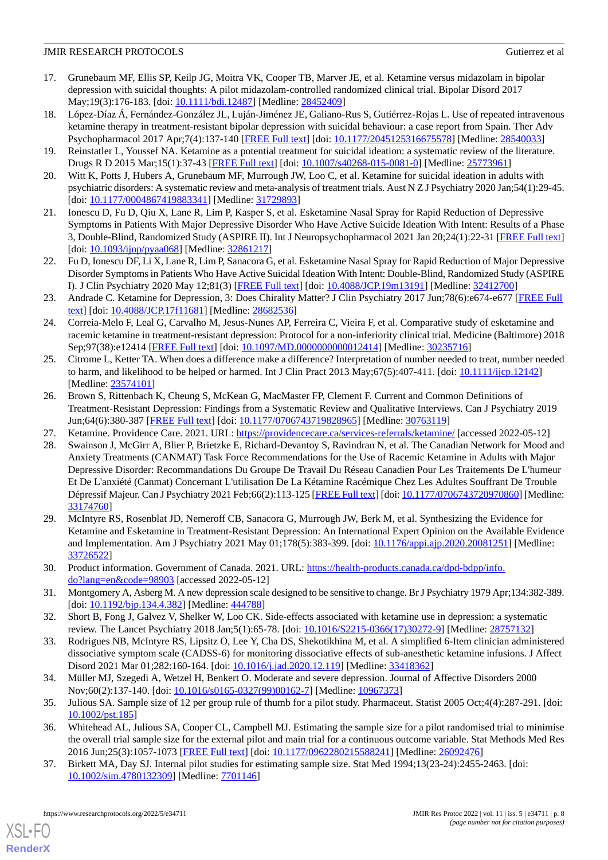- <span id="page-7-0"></span>17. Grunebaum MF, Ellis SP, Keilp JG, Moitra VK, Cooper TB, Marver JE, et al. Ketamine versus midazolam in bipolar depression with suicidal thoughts: A pilot midazolam-controlled randomized clinical trial. Bipolar Disord 2017 May;19(3):176-183. [doi: [10.1111/bdi.12487](http://dx.doi.org/10.1111/bdi.12487)] [Medline: [28452409](http://www.ncbi.nlm.nih.gov/entrez/query.fcgi?cmd=Retrieve&db=PubMed&list_uids=28452409&dopt=Abstract)]
- 18. López-Díaz Á, Fernández-González JL, Luján-Jiménez JE, Galiano-Rus S, Gutiérrez-Rojas L. Use of repeated intravenous ketamine therapy in treatment-resistant bipolar depression with suicidal behaviour: a case report from Spain. Ther Adv Psychopharmacol 2017 Apr;7(4):137-140 [[FREE Full text\]](https://journals.sagepub.com/doi/10.1177/2045125316675578?url_ver=Z39.88-2003&rfr_id=ori:rid:crossref.org&rfr_dat=cr_pub%3dpubmed) [doi: [10.1177/2045125316675578](http://dx.doi.org/10.1177/2045125316675578)] [Medline: [28540033](http://www.ncbi.nlm.nih.gov/entrez/query.fcgi?cmd=Retrieve&db=PubMed&list_uids=28540033&dopt=Abstract)]
- <span id="page-7-1"></span>19. Reinstatler L, Youssef NA. Ketamine as a potential treatment for suicidal ideation: a systematic review of the literature. Drugs R D 2015 Mar;15(1):37-43 [[FREE Full text](http://europepmc.org/abstract/MED/25773961)] [doi: [10.1007/s40268-015-0081-0\]](http://dx.doi.org/10.1007/s40268-015-0081-0) [Medline: [25773961\]](http://www.ncbi.nlm.nih.gov/entrez/query.fcgi?cmd=Retrieve&db=PubMed&list_uids=25773961&dopt=Abstract)
- <span id="page-7-2"></span>20. Witt K, Potts J, Hubers A, Grunebaum MF, Murrough JW, Loo C, et al. Ketamine for suicidal ideation in adults with psychiatric disorders: A systematic review and meta-analysis of treatment trials. Aust N Z J Psychiatry 2020 Jan;54(1):29-45. [doi: [10.1177/0004867419883341](http://dx.doi.org/10.1177/0004867419883341)] [Medline: [31729893\]](http://www.ncbi.nlm.nih.gov/entrez/query.fcgi?cmd=Retrieve&db=PubMed&list_uids=31729893&dopt=Abstract)
- <span id="page-7-3"></span>21. Ionescu D, Fu D, Qiu X, Lane R, Lim P, Kasper S, et al. Esketamine Nasal Spray for Rapid Reduction of Depressive Symptoms in Patients With Major Depressive Disorder Who Have Active Suicide Ideation With Intent: Results of a Phase 3, Double-Blind, Randomized Study (ASPIRE II). Int J Neuropsychopharmacol 2021 Jan 20;24(1):22-31 [[FREE Full text](https://academic.oup.com/ijnp/article-lookup/doi/10.1093/ijnp/pyaa068)] [doi: [10.1093/ijnp/pyaa068](http://dx.doi.org/10.1093/ijnp/pyaa068)] [Medline: [32861217](http://www.ncbi.nlm.nih.gov/entrez/query.fcgi?cmd=Retrieve&db=PubMed&list_uids=32861217&dopt=Abstract)]
- <span id="page-7-4"></span>22. Fu D, Ionescu DF, Li X, Lane R, Lim P, Sanacora G, et al. Esketamine Nasal Spray for Rapid Reduction of Major Depressive Disorder Symptoms in Patients Who Have Active Suicidal Ideation With Intent: Double-Blind, Randomized Study (ASPIRE I). J Clin Psychiatry 2020 May 12;81(3) [[FREE Full text](http://www.psychiatrist.com/JCP/article/Pages/esketamine-nasal-spray-rapidly-reduces-depression.aspx)] [doi: [10.4088/JCP.19m13191\]](http://dx.doi.org/10.4088/JCP.19m13191) [Medline: [32412700\]](http://www.ncbi.nlm.nih.gov/entrez/query.fcgi?cmd=Retrieve&db=PubMed&list_uids=32412700&dopt=Abstract)
- <span id="page-7-5"></span>23. Andrade C. Ketamine for Depression, 3: Does Chirality Matter? J Clin Psychiatry 2017 Jun;78(6):e674-e677 [[FREE Full](http://www.psychiatrist.com/JCP/article/Pages/2017/v78n06/v78n0608.aspx) [text](http://www.psychiatrist.com/JCP/article/Pages/2017/v78n06/v78n0608.aspx)] [doi: [10.4088/JCP.17f11681\]](http://dx.doi.org/10.4088/JCP.17f11681) [Medline: [28682536\]](http://www.ncbi.nlm.nih.gov/entrez/query.fcgi?cmd=Retrieve&db=PubMed&list_uids=28682536&dopt=Abstract)
- <span id="page-7-6"></span>24. Correia-Melo F, Leal G, Carvalho M, Jesus-Nunes AP, Ferreira C, Vieira F, et al. Comparative study of esketamine and racemic ketamine in treatment-resistant depression: Protocol for a non-inferiority clinical trial. Medicine (Baltimore) 2018 Sep;97(38):e12414 [\[FREE Full text](https://doi.org/10.1097/MD.0000000000012414)] [doi: [10.1097/MD.0000000000012414](http://dx.doi.org/10.1097/MD.0000000000012414)] [Medline: [30235716](http://www.ncbi.nlm.nih.gov/entrez/query.fcgi?cmd=Retrieve&db=PubMed&list_uids=30235716&dopt=Abstract)]
- <span id="page-7-7"></span>25. Citrome L, Ketter TA. When does a difference make a difference? Interpretation of number needed to treat, number needed to harm, and likelihood to be helped or harmed. Int J Clin Pract 2013 May; $67(5)$ : $407-411$ . [doi:  $10.1111/i$ ; $[cp.12142]$ ] [Medline: [23574101](http://www.ncbi.nlm.nih.gov/entrez/query.fcgi?cmd=Retrieve&db=PubMed&list_uids=23574101&dopt=Abstract)]
- <span id="page-7-16"></span><span id="page-7-8"></span>26. Brown S, Rittenbach K, Cheung S, McKean G, MacMaster FP, Clement F. Current and Common Definitions of Treatment-Resistant Depression: Findings from a Systematic Review and Qualitative Interviews. Can J Psychiatry 2019 Jun;64(6):380-387 [[FREE Full text](http://europepmc.org/abstract/MED/30763119)] [doi: [10.1177/0706743719828965\]](http://dx.doi.org/10.1177/0706743719828965) [Medline: [30763119\]](http://www.ncbi.nlm.nih.gov/entrez/query.fcgi?cmd=Retrieve&db=PubMed&list_uids=30763119&dopt=Abstract)
- 27. Ketamine. Providence Care. 2021. URL: <https://providencecare.ca/services-referrals/ketamine/> [accessed 2022-05-12]
- <span id="page-7-9"></span>28. Swainson J, McGirr A, Blier P, Brietzke E, Richard-Devantoy S, Ravindran N, et al. The Canadian Network for Mood and Anxiety Treatments (CANMAT) Task Force Recommendations for the Use of Racemic Ketamine in Adults with Major Depressive Disorder: Recommandations Du Groupe De Travail Du Réseau Canadien Pour Les Traitements De L'humeur Et De L'anxiété (Canmat) Concernant L'utilisation De La Kétamine Racémique Chez Les Adultes Souffrant De Trouble Dépressif Majeur. Can J Psychiatry 2021 Feb;66(2):113-125 [[FREE Full text\]](http://europepmc.org/abstract/MED/33174760) [doi: [10.1177/0706743720970860](http://dx.doi.org/10.1177/0706743720970860)] [Medline: [33174760](http://www.ncbi.nlm.nih.gov/entrez/query.fcgi?cmd=Retrieve&db=PubMed&list_uids=33174760&dopt=Abstract)]
- <span id="page-7-11"></span><span id="page-7-10"></span>29. McIntyre RS, Rosenblat JD, Nemeroff CB, Sanacora G, Murrough JW, Berk M, et al. Synthesizing the Evidence for Ketamine and Esketamine in Treatment-Resistant Depression: An International Expert Opinion on the Available Evidence and Implementation. Am J Psychiatry 2021 May 01;178(5):383-399. [doi: [10.1176/appi.ajp.2020.20081251\]](http://dx.doi.org/10.1176/appi.ajp.2020.20081251) [Medline: [33726522](http://www.ncbi.nlm.nih.gov/entrez/query.fcgi?cmd=Retrieve&db=PubMed&list_uids=33726522&dopt=Abstract)]
- <span id="page-7-13"></span><span id="page-7-12"></span>30. Product information. Government of Canada. 2021. URL: [https://health-products.canada.ca/dpd-bdpp/info.](https://health-products.canada.ca/dpd-bdpp/info.do?lang=en&code=98903) [do?lang=en&code=98903](https://health-products.canada.ca/dpd-bdpp/info.do?lang=en&code=98903) [accessed 2022-05-12]
- 31. Montgomery A, Asberg M. A new depression scale designed to be sensitive to change. Br J Psychiatry 1979 Apr;134:382-389. [doi: [10.1192/bjp.134.4.382](http://dx.doi.org/10.1192/bjp.134.4.382)] [Medline: [444788](http://www.ncbi.nlm.nih.gov/entrez/query.fcgi?cmd=Retrieve&db=PubMed&list_uids=444788&dopt=Abstract)]
- <span id="page-7-14"></span>32. Short B, Fong J, Galvez V, Shelker W, Loo CK. Side-effects associated with ketamine use in depression: a systematic review. The Lancet Psychiatry 2018 Jan;5(1):65-78. [doi: [10.1016/S2215-0366\(17\)30272-9\]](http://dx.doi.org/10.1016/S2215-0366(17)30272-9) [Medline: [28757132\]](http://www.ncbi.nlm.nih.gov/entrez/query.fcgi?cmd=Retrieve&db=PubMed&list_uids=28757132&dopt=Abstract)
- <span id="page-7-15"></span>33. Rodrigues NB, McIntyre RS, Lipsitz O, Lee Y, Cha DS, Shekotikhina M, et al. A simplified 6-Item clinician administered dissociative symptom scale (CADSS-6) for monitoring dissociative effects of sub-anesthetic ketamine infusions. J Affect Disord 2021 Mar 01;282:160-164. [doi: [10.1016/j.jad.2020.12.119\]](http://dx.doi.org/10.1016/j.jad.2020.12.119) [Medline: [33418362](http://www.ncbi.nlm.nih.gov/entrez/query.fcgi?cmd=Retrieve&db=PubMed&list_uids=33418362&dopt=Abstract)]
- 34. Müller MJ, Szegedi A, Wetzel H, Benkert O. Moderate and severe depression. Journal of Affective Disorders 2000 Nov;60(2):137-140. [doi: [10.1016/s0165-0327\(99\)00162-7](http://dx.doi.org/10.1016/s0165-0327(99)00162-7)] [Medline: [10967373\]](http://www.ncbi.nlm.nih.gov/entrez/query.fcgi?cmd=Retrieve&db=PubMed&list_uids=10967373&dopt=Abstract)
- 35. Julious SA. Sample size of 12 per group rule of thumb for a pilot study. Pharmaceut. Statist 2005 Oct;4(4):287-291. [doi: [10.1002/pst.185\]](http://dx.doi.org/10.1002/pst.185)
- 36. Whitehead AL, Julious SA, Cooper CL, Campbell MJ. Estimating the sample size for a pilot randomised trial to minimise the overall trial sample size for the external pilot and main trial for a continuous outcome variable. Stat Methods Med Res 2016 Jun;25(3):1057-1073 [\[FREE Full text\]](https://journals.sagepub.com/doi/10.1177/0962280215588241?url_ver=Z39.88-2003&rfr_id=ori:rid:crossref.org&rfr_dat=cr_pub%3dpubmed) [doi: [10.1177/0962280215588241](http://dx.doi.org/10.1177/0962280215588241)] [Medline: [26092476\]](http://www.ncbi.nlm.nih.gov/entrez/query.fcgi?cmd=Retrieve&db=PubMed&list_uids=26092476&dopt=Abstract)
- 37. Birkett MA, Day SJ. Internal pilot studies for estimating sample size. Stat Med 1994;13(23-24):2455-2463. [doi: [10.1002/sim.4780132309\]](http://dx.doi.org/10.1002/sim.4780132309) [Medline: [7701146\]](http://www.ncbi.nlm.nih.gov/entrez/query.fcgi?cmd=Retrieve&db=PubMed&list_uids=7701146&dopt=Abstract)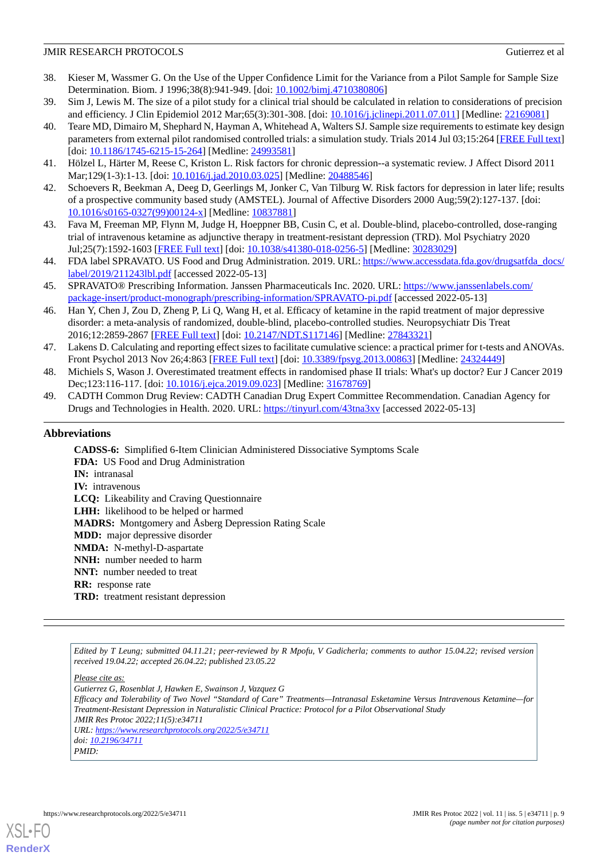- 38. Kieser M, Wassmer G. On the Use of the Upper Confidence Limit for the Variance from a Pilot Sample for Sample Size Determination. Biom. J 1996;38(8):941-949. [doi: [10.1002/bimj.4710380806\]](http://dx.doi.org/10.1002/bimj.4710380806)
- <span id="page-8-0"></span>39. Sim J, Lewis M. The size of a pilot study for a clinical trial should be calculated in relation to considerations of precision and efficiency. J Clin Epidemiol 2012 Mar;65(3):301-308. [doi: [10.1016/j.jclinepi.2011.07.011\]](http://dx.doi.org/10.1016/j.jclinepi.2011.07.011) [Medline: [22169081](http://www.ncbi.nlm.nih.gov/entrez/query.fcgi?cmd=Retrieve&db=PubMed&list_uids=22169081&dopt=Abstract)]
- 40. Teare MD, Dimairo M, Shephard N, Hayman A, Whitehead A, Walters SJ. Sample size requirements to estimate key design parameters from external pilot randomised controlled trials: a simulation study. Trials 2014 Jul 03;15:264 [[FREE Full text](https://trialsjournal.biomedcentral.com/articles/10.1186/1745-6215-15-264)] [doi: [10.1186/1745-6215-15-264](http://dx.doi.org/10.1186/1745-6215-15-264)] [Medline: [24993581\]](http://www.ncbi.nlm.nih.gov/entrez/query.fcgi?cmd=Retrieve&db=PubMed&list_uids=24993581&dopt=Abstract)
- <span id="page-8-2"></span><span id="page-8-1"></span>41. Hölzel L, Härter M, Reese C, Kriston L. Risk factors for chronic depression--a systematic review. J Affect Disord 2011 Mar;129(1-3):1-13. [doi: [10.1016/j.jad.2010.03.025\]](http://dx.doi.org/10.1016/j.jad.2010.03.025) [Medline: [20488546\]](http://www.ncbi.nlm.nih.gov/entrez/query.fcgi?cmd=Retrieve&db=PubMed&list_uids=20488546&dopt=Abstract)
- <span id="page-8-3"></span>42. Schoevers R, Beekman A, Deeg D, Geerlings M, Jonker C, Van Tilburg W. Risk factors for depression in later life; results of a prospective community based study (AMSTEL). Journal of Affective Disorders 2000 Aug;59(2):127-137. [doi: [10.1016/s0165-0327\(99\)00124-x](http://dx.doi.org/10.1016/s0165-0327(99)00124-x)] [Medline: [10837881\]](http://www.ncbi.nlm.nih.gov/entrez/query.fcgi?cmd=Retrieve&db=PubMed&list_uids=10837881&dopt=Abstract)
- <span id="page-8-4"></span>43. Fava M, Freeman MP, Flynn M, Judge H, Hoeppner BB, Cusin C, et al. Double-blind, placebo-controlled, dose-ranging trial of intravenous ketamine as adjunctive therapy in treatment-resistant depression (TRD). Mol Psychiatry 2020 Jul;25(7):1592-1603 [[FREE Full text\]](http://europepmc.org/abstract/MED/30283029) [doi: [10.1038/s41380-018-0256-5](http://dx.doi.org/10.1038/s41380-018-0256-5)] [Medline: [30283029](http://www.ncbi.nlm.nih.gov/entrez/query.fcgi?cmd=Retrieve&db=PubMed&list_uids=30283029&dopt=Abstract)]
- <span id="page-8-5"></span>44. FDA label SPRAVATO. US Food and Drug Administration. 2019. URL: [https://www.accessdata.fda.gov/drugsatfda\\_docs/](https://www.accessdata.fda.gov/drugsatfda_docs/label/2019/211243lbl.pdf) [label/2019/211243lbl.pdf](https://www.accessdata.fda.gov/drugsatfda_docs/label/2019/211243lbl.pdf) [accessed 2022-05-13]
- <span id="page-8-6"></span>45. SPRAVATO® Prescribing Information. Janssen Pharmaceuticals Inc. 2020. URL: [https://www.janssenlabels.com/](https://www.janssenlabels.com/package-insert/product-monograph/prescribing-information/SPRAVATO-pi.pdf) [package-insert/product-monograph/prescribing-information/SPRAVATO-pi.pdf](https://www.janssenlabels.com/package-insert/product-monograph/prescribing-information/SPRAVATO-pi.pdf) [accessed 2022-05-13]
- <span id="page-8-7"></span>46. Han Y, Chen J, Zou D, Zheng P, Li Q, Wang H, et al. Efficacy of ketamine in the rapid treatment of major depressive disorder: a meta-analysis of randomized, double-blind, placebo-controlled studies. Neuropsychiatr Dis Treat 2016;12:2859-2867 [\[FREE Full text\]](https://dx.doi.org/10.2147/NDT.S117146) [doi: [10.2147/NDT.S117146](http://dx.doi.org/10.2147/NDT.S117146)] [Medline: [27843321\]](http://www.ncbi.nlm.nih.gov/entrez/query.fcgi?cmd=Retrieve&db=PubMed&list_uids=27843321&dopt=Abstract)
- <span id="page-8-9"></span><span id="page-8-8"></span>47. Lakens D. Calculating and reporting effect sizes to facilitate cumulative science: a practical primer for t-tests and ANOVAs. Front Psychol 2013 Nov 26;4:863 [\[FREE Full text\]](https://doi.org/10.3389/fpsyg.2013.00863) [doi: [10.3389/fpsyg.2013.00863\]](http://dx.doi.org/10.3389/fpsyg.2013.00863) [Medline: [24324449](http://www.ncbi.nlm.nih.gov/entrez/query.fcgi?cmd=Retrieve&db=PubMed&list_uids=24324449&dopt=Abstract)]
- 48. Michiels S, Wason J. Overestimated treatment effects in randomised phase II trials: What's up doctor? Eur J Cancer 2019 Dec;123:116-117. [doi: [10.1016/j.ejca.2019.09.023](http://dx.doi.org/10.1016/j.ejca.2019.09.023)] [Medline: [31678769\]](http://www.ncbi.nlm.nih.gov/entrez/query.fcgi?cmd=Retrieve&db=PubMed&list_uids=31678769&dopt=Abstract)
- 49. CADTH Common Drug Review: CADTH Canadian Drug Expert Committee Recommendation. Canadian Agency for Drugs and Technologies in Health. 2020. URL: [https://tinyurl.com/43tna3xv](https://www.cadth.ca/sites/default/files/cdr/complete/SR0621%20Spravato%20-%20CDEC%20Final%20Recommendation%20December%2018%2C%202020_for%20posting.pdf) [accessed 2022-05-13]

## **Abbreviations**

**CADSS-6:** Simplified 6-Item Clinician Administered Dissociative Symptoms Scale **FDA:** US Food and Drug Administration **IN:** intranasal **IV:** intravenous **LCQ:** Likeability and Craving Questionnaire **LHH:** likelihood to be helped or harmed **MADRS:** Montgomery and Åsberg Depression Rating Scale **MDD:** major depressive disorder **NMDA:** N-methyl-D-aspartate **NNH:** number needed to harm **NNT:** number needed to treat **RR:** response rate **TRD:** treatment resistant depression

*Edited by T Leung; submitted 04.11.21; peer-reviewed by R Mpofu, V Gadicherla; comments to author 15.04.22; revised version received 19.04.22; accepted 26.04.22; published 23.05.22*

*Please cite as:*

*Gutierrez G, Rosenblat J, Hawken E, Swainson J, Vazquez G*

*Efficacy and Tolerability of Two Novel "Standard of Care" Treatments—Intranasal Esketamine Versus Intravenous Ketamine—for Treatment-Resistant Depression in Naturalistic Clinical Practice: Protocol for a Pilot Observational Study JMIR Res Protoc 2022;11(5):e34711*

*URL: <https://www.researchprotocols.org/2022/5/e34711>*

*doi: [10.2196/34711](http://dx.doi.org/10.2196/34711)*

*PMID:*